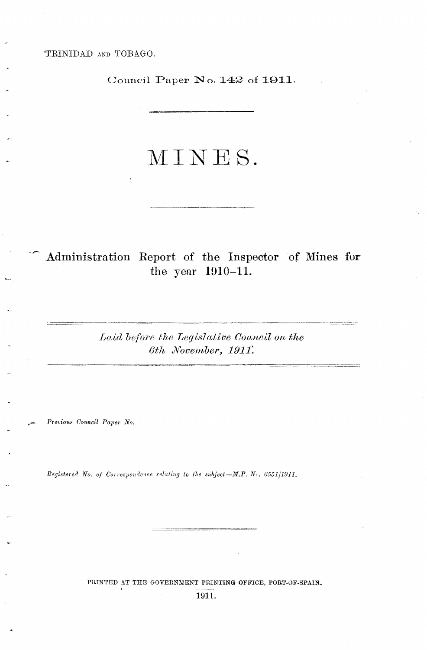TRINIDAD AND TOBAGO.

Council Paper No. 142 of 1911.

# MINES.

Administration Report of the Inspector of Mines for the year 1910-11.

> Laid before the Legislative Council on the 6th November, 1911.

Previous Council Paper No.

Registered No. of Correspondence relating to the subject-M.P. No. 6551/1911.

PRINTED AT THE GOVERNMENT PRINTING OFFICE, PORT-OF-SPAIN. 1911.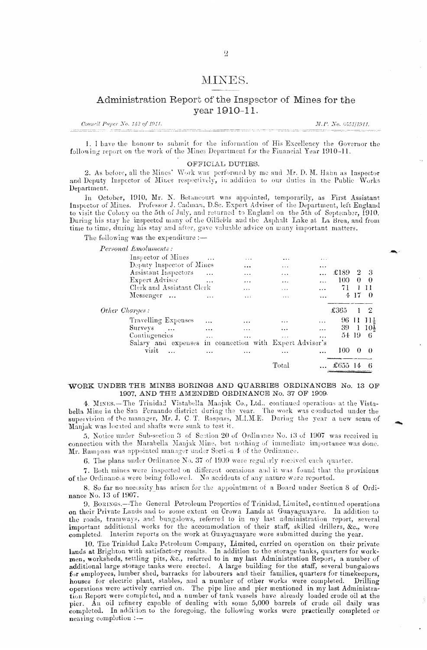# MINES.

# Administration Report of the Inspector of Mines for the year 1910-11.

Conneil Paper No. 143 of 1911.

M.P. No. 6551/1911.

1. I have the honour to submit for the information of His Excellency the Governor the following report on the work of the Mines Department for the Financial Year 1910-11.

### OFFICIAL DUTIES.

2. As before, all the Mines' Work was performed by me and Mr. D. M. Hahn as Inspector and Deputy Inspector of Mines respectively, in addition to our duties in the Public Works Department.

In October, 1910, Mr. N. Betancourt was appointed, temporarily, as First Assistant Inspector of Mines. Professor J. Cadman, D.Sc. Expert Adviser of the Department, left England to visit the Colony on the 5th of July, and returned to England on the 5th of September, 1910.<br>During his stay he inspected many of the Oilfields and the Asphalt Lake at La Brea, and from time to time, during his stay and after, gave valuable advice on many important matters.

The following was the expenditure :-

Personal Emoluments:

|                |                    |                           |           |                                     | Total                      |                        |       |                  | 6        |
|----------------|--------------------|---------------------------|-----------|-------------------------------------|----------------------------|------------------------|-------|------------------|----------|
|                | visit              |                           | $\cdots$  | $\cdots$                            | $\cdots$                   | $\cdots$               | 100   | 0                | $\theta$ |
|                |                    | Salary and expenses       |           | in connection with Expert Adviser's |                            |                        |       |                  |          |
|                | Contingencies      |                           | $\cdots$  |                                     | $\cdots$                   | $\ddotsc$              | 54 19 |                  | -6       |
|                | Surveys            | $\sim$ 100 $\mu$          | $\cdots$  |                                     |                            | $\lambda$ + $\lambda$  | -39   | $\mathbf{1}$     | 104      |
|                |                    | Travelling Expenses       | $\cdots$  |                                     |                            | $\ddotsc$              | 96    |                  | -11 -114 |
| Other Charges: |                    |                           |           |                                     |                            |                        | £365  |                  | -2       |
|                | Messenger          |                           | $\ddotsc$ | $\cdots$                            | $\times$ $\times$ $\times$ |                        |       | $4 \frac{17}{2}$ | - 0      |
|                |                    | Clerk and Assistant Clerk |           | $\cdots$                            | .                          |                        | 71    |                  | 11       |
|                | Expert Adviser     |                           | $\ddotsc$ | $\cdots$                            | $\cdots$                   |                        | 100.  | $\theta$         | -0       |
|                |                    | Assistant Inspectors      | $\ddotsc$ | $\cdots$                            | $r + n$                    |                        | £189  | $\overline{2}$   | - 3      |
|                |                    | Deputy Inspector of Mines |           |                                     | $\cdots$                   |                        |       |                  |          |
|                | Inspector of Mines |                           |           | $\cdots$                            | .                          | $\mathbf{z}$ . The set |       |                  |          |

## WORK UNDER THE MINES BORINGS AND QUARRIES ORDINANCES No. 13 OF 1907, AND THE AMENDED ORDINANCE No. 37 OF 1909.

4. MINES.—The Trinidad Vistabella Manjak Co., Ltd., continued operations at the Vistabella Mine in the San Fernando district during the vear. The work was conducted under the supervision of the manager, Mr. J. C. T. Raspass, M.I.M.E. During the year a new seam of Manjak was located and shafts were sunk to test it.

5. Notice under Sub-section 3 of Section 20 of Ordinance No. 13 of 1907 was received in connection with the Marabella Manjak Mine, but nothing of immediate importance was done. Mr. Rampass was appointed manager under Section 4 of the Ordinance.

6. The plans under Ordinance No. 37 of 1909 were regularly received each quarter.

7. Both mines were inspected on different occasions and it was found that the provisions of the Ordinances were being followed. No accidents of any nature were reported.

8. So far no necessity has arisen for the appointment of a Board under Section 8 of Ordinance No. 13 of 1907.

9. BORINGS.-The General Petroleum Properties of Trinidad, Limited, continued operations on their Private Lands and to some extent on Crown Lands at Guayaguayare. In addition to the roads, tramways, and bungalows, referred to in my last administration report, several important additional works for the accommodation of their staff, skilled drillers, &c., were completed. Interim reports on the work at Guayaguayare were submitted during the year.

10. The Trinidad Lake Petroleum Company, Limited, carried on operation on their private lands at Brighton with satisfactory results. In addition to the storage tanks, quarters for work-<br>men, worksheds, settling pits, &c., referred to in my last Administration Report, a number of additional large storage tanks were erected. A large building for the staff, several bungalows for employees, lumber shed, barracks for labourers and their families, quarters for timekeepers, houses for electric plant, stables, and a number of other works were completed. Drilling operations were actively carried on. The pipe line and pier mentioned in my last Administration Report were completed, and a number of tank vessels have already loaded crude oil at the pier. An oil refinery capable of dealing with some 5,000 barrels of crude oil daily was completed. In addition to the foregoing, the following works were practically completed or nearing completion :-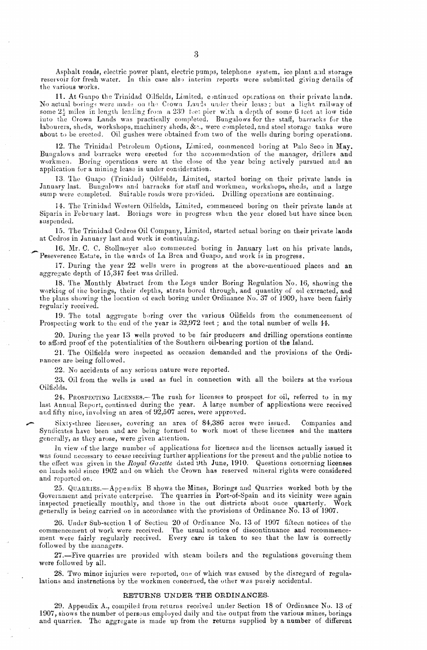Asphalt roads, electric power plant, electric pumps, telephone system, ice plant and storage reservoir for fresh water. In this case also interim reports were submitted giving details of the various works.

11. At Guapo the Trinidad Oilfields, Limited, continued operations on their private lands. No actual borings were made on the Crown Lands under their lease; but a light railway of some  $2\frac{1}{2}$  miles in length leading from a 230 feet pier with a depth of some 6 feet at low tide into the Crown Lands was practically completed. Bungalows for the staff, barracks for the labourers, sheds, workshops, machinery sheds, &., were completed, and steel storage tanks were about to be erected. Oil gushes were obtained from two of the wells during boring operatinns.

12. The Trinidad Petroleum Options, Limited, commenced boring at Palo Seco in May. Bungalows and barracks were erected for the accummodation of the manager, drillers and workmen. Boring operations were at the close of the year being actively pursued and an application for a mining lease is under consideration.

13. The Guapo (Trinidad) Oilfields, Limited, started boring on their private lands in January last. Bungalows and barracks for staff and workmen, workshops, sheds, and a large sump were completed. Suitable roads were provided. Drilling operations are continuing.

14. The Trinidad Western Oilfields, Limited, commenced boring on their private lands at Siparia in February last. Borings were in progress when the year closed but have since been suspended.

15. Tho Trinidad Cedros Oil Company, Limited, started actual boring on their private lands at Cedros in January last and work is continuing.

16. Mr. C. C. Stollmeyer also commenced boring in January last on his private lands, Peseverence Estate, in the wards of La Brea and Guapo, and work is in progress.

17. During the year 22 wells were in progress at the above-mentioned places and an aggregate depth of 15,31<7 feet was drilled.

18. The Monthly Abstract from the Logs under Boring Regulation No. 16, showing the working of the borings, their depths, strata bored through, and quantity of oil extracted, and the plans showing the location ot each boring under Ordinance No. 37 of 1909, have been fairly regularly received.

19. The total aggregate boring over the various Oilfields from the commencement of Prospecting work to the end of the year is 32,972 feet; and the total number of wells 14.

20. During the year 13 wells proved to be fair producers and drilling operations continue to afford proof of the potentialities of the Southern oil-bearing portion of the Island.

21. The Oilfields were inspected as occasion demanded and the provisions of the Ordi rances are being followed.

22. No accidents of any serious nature were reported.

23. Oil from the wells is used as fuel in connection with all the boilers at the various Oilfidds.

24. PROSPECTING LICENSES.- The rush for licenses to prospect for oil, referred to in my last Annual Report, continued during the year. A large number of applications were received and fifty nine, involving an area of 92,507 acres, were approved.

Sixty-three licenses, covering an area of 84,386 acres were issued. Companies and Syndicates have been and are being formed to work most of these licenses and the matters generally, as they arose, were given attention.

In view of the large number of applications for licenses and the licenses actually issued it was found necessary to cease receiving turther applications for the present and the public notice to the effect was given in the *Royal Gazette* dated 9th June, 1910. Questions concerning licenses on lands sold since 1902 and on which the Crown has reserved mineral rights were considered and reported on.

25. QUARRIES.-Appendix B shows the Mines, Borings and Quarries worked both by the Government and private enterprise. The quarries in Port-of-Spain and its vicinity were again inspected practically monthly, and those in the out districts about once quarterly. Work generally is being carried 00 in accordance with the provisions of Ordinance No. 13 of 1907.

26. Under Sub-section 1 of Section 20 of Ordinance No. 13 of 1907 fifteen notices of the commencement of work were received. The usual notices of discontinuance and recommencement were fairly regularly received. Every care is taken to see that the law is correctly followed by the managers.

27.-Five quarries are provided with steam boilers and the regulations goveruing them were followed by all.

28. Two minor injuries were reported, one of which was caused by the disregard of regulalations and instructions by the workmen concerned, the other was purely accidental.

#### RETURNS UNDER THE ORDINANCES.

29. Appeudix A., compiled from returns received under Section 18 of Ordinance No. 13 of 1907, shows the number of persons employed daily and the output from the various mines, borings and quarries. The aggregate is made up from the returns supplied by a number of different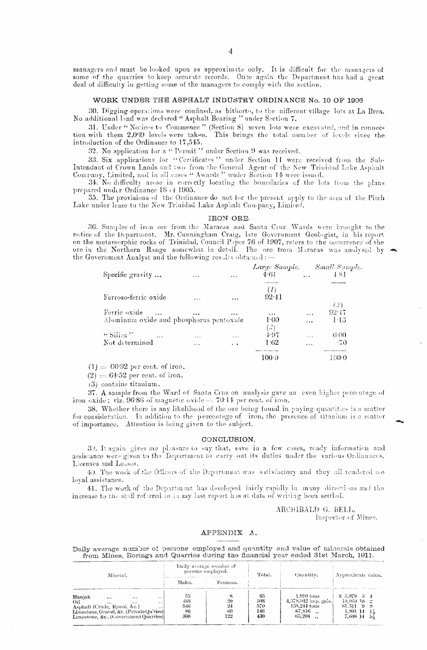managers and must be looked upon as approximate only. It is difficult for the managers of some of the quarries to keep accurate records. Once again the Department has had a great deal of difficulty in getting some of the managers to comply with the section.

## WORK UNDER THE ASPHALT INDUSTRY ORDINANCE No. 10 OF 1906

30. Digging operations were confined, as hitherto, to the nifferent village lots at La Brea. No additional land was declared "Asphalt Bearing" under Section 7.

31. Under "Notices to Commence" (Section 8) seven lots were excavated, and in connection with them 2,069 levels were taken. This brings the total number of levels since the introduction of the Ordinance to 17,545.

32. No application for a "Permit" under Section 9 was received.

33. Six applications for "Certificates" under Section 11 were received from the Sub-Intendant of Crown Lands and two from the General Agent of the New Trinidad Lake Asphalt Company, Limited, and in all cases " Awards " under Section 14 were issued.

34. No difficulty arose in correctly locating the boundaries of the lots from the plans prepared under Ordinance 18 of 1905.

35. The provisions of the Ordinance do not for the present apply to the area of the Pitch Lake under lease to the New Trinidad Lake Asphalt Company, Limited.

#### IRON ORE.

36. Samples of iron ore from the Maracas and Santa Cruz Wards were brought to the notice of the Department. Mr. Cunningham Craig, late Government Geologist, in his report<br>on the metamorphic rocks of Trinidad, Council Paper 76 of 1907, refers to the occurrence of the<br>ore in the Northern Range somewhat in the Government Analyst and the following results obtained:-

| Specific gravity $\ldots$               | $\cdots$  | $-2$      | 4.61      | $\mathbf{r}$ | Large Sample. Small Sample.<br>4.81 |
|-----------------------------------------|-----------|-----------|-----------|--------------|-------------------------------------|
| Ferroso-ferric oxide                    |           |           | 92.41     |              |                                     |
|                                         | $\ddotsc$ | $\ddotsc$ |           |              | (2)                                 |
| Ferric oxide                            | $\cdots$  |           | $\cdots$  | $\ddotsc$    | 92.17                               |
| Aluminum oxide and phosphorus pentoxide |           |           | $1-00$    |              | 143                                 |
|                                         |           |           | $(\beta)$ |              |                                     |
| $\lq\lq$ Silica $\lq\lq$<br>$\cdots$    | $\cdots$  | .         | 4.97      | $\cdots$     | 6.00                                |
| Not determined                          | $\cdots$  | 4.14      | 1.62      | $\cdots$     | $-70$                               |
|                                         |           |           | 100-D     |              | 1000                                |

 $(1) = 66.92$  per cent. of iron.

 $(2) = 64.52$  per cent. of iron.

(3) contains titanium.

37. A sample from the Ward of Santa Cruz on analysis gave an even higher percentage of iron oxide; viz. 96.86 of magnetic oxide  $\approx 70.14$  per cent. of iron.

38. Whether there is any likelihood of the ore being found in paying quantities is a matter for consideration. In addition to the percentage of iron, the presence of titanium is a matter of importance. Attention is being given to the subject.

## CONCLUSION.

30. It again gives me pleasure to say that, save in a few cases, ready information and assistance were given to the Department to carry out its duties under the various Ordinances, Licenses and Leases.

40. The work of the Officers of the Department was suisfactory and they all rendered me loval assistance.

41. The work of the Department has developed fairly rapidly in many directions and the increase to the staff referred to in my last report has at date of writing been settled.

## ARCHIBALD G. BELL, Inspector of Mines.

# APPENDIX A.

Daily average number of persons employed and quantity and value of minerals obtained from Mines, Borings and Quarries during the financial year ended 31st March, 1911.

| Mineral.                                                                                                                                                                                     | Daily average number of<br>persons employed. |           | Total.                         | Quantity,                                                                          | Amproximate value.                                                       |  |  |
|----------------------------------------------------------------------------------------------------------------------------------------------------------------------------------------------|----------------------------------------------|-----------|--------------------------------|------------------------------------------------------------------------------------|--------------------------------------------------------------------------|--|--|
|                                                                                                                                                                                              | Males.                                       | Females.  |                                |                                                                                    |                                                                          |  |  |
| Manjak<br><br><br>$\cdots$<br>Oil<br>$\cdots$<br><br>$\cdots$<br>Asphalt (Crude, Epuré, &c.)<br>$\cdots$<br>Limestone, Gravel, &c. (PrivateQu'ries)<br>Limestone, &c., (Government Quarries) | 55<br>488<br>546<br>-86<br>308               | 60<br>122 | 63<br>508<br>570<br>146<br>430 | $1.910 \text{ tons}$<br>$4,378,942$ imp. gals.<br>138.244 tons<br>67,816<br>65.204 | $\&$ 3.979 $\&$ 4<br>18,009.38 2<br>81.311<br>-9<br>1.801 14<br>7,608 14 |  |  |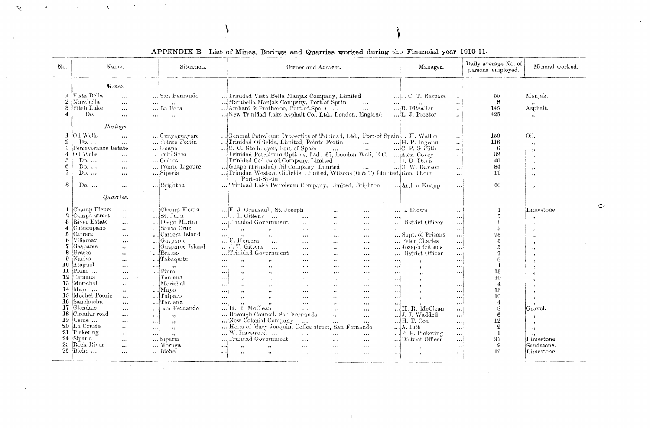| No.                                                                                                            | Name.                                                                                                                                                                                                                                                                                                                                                                                                                                                                                                                                                                                                                                            | Situation.                                                                                                                                                                                                                                                                                                                                                                                             | Owner and Address.                                                                                                                                                                                                                                                                                                                                                                                                                                                                                                                                                                                                                                                                                                                                                                                                                                                                                                                                                                                                                                                                                                                                                                                                                                                                                                                                                                                                                                                                                                                                                                         | Manager.                                                                                                                                                                                                                                                                                                                                                                                                                                                                                                                                                                                                                                                    | Daily average No. of<br>persons employed.                                                               | Mineral worked.                                                                                                                                                                                                                          |
|----------------------------------------------------------------------------------------------------------------|--------------------------------------------------------------------------------------------------------------------------------------------------------------------------------------------------------------------------------------------------------------------------------------------------------------------------------------------------------------------------------------------------------------------------------------------------------------------------------------------------------------------------------------------------------------------------------------------------------------------------------------------------|--------------------------------------------------------------------------------------------------------------------------------------------------------------------------------------------------------------------------------------------------------------------------------------------------------------------------------------------------------------------------------------------------------|--------------------------------------------------------------------------------------------------------------------------------------------------------------------------------------------------------------------------------------------------------------------------------------------------------------------------------------------------------------------------------------------------------------------------------------------------------------------------------------------------------------------------------------------------------------------------------------------------------------------------------------------------------------------------------------------------------------------------------------------------------------------------------------------------------------------------------------------------------------------------------------------------------------------------------------------------------------------------------------------------------------------------------------------------------------------------------------------------------------------------------------------------------------------------------------------------------------------------------------------------------------------------------------------------------------------------------------------------------------------------------------------------------------------------------------------------------------------------------------------------------------------------------------------------------------------------------------------|-------------------------------------------------------------------------------------------------------------------------------------------------------------------------------------------------------------------------------------------------------------------------------------------------------------------------------------------------------------------------------------------------------------------------------------------------------------------------------------------------------------------------------------------------------------------------------------------------------------------------------------------------------------|---------------------------------------------------------------------------------------------------------|------------------------------------------------------------------------------------------------------------------------------------------------------------------------------------------------------------------------------------------|
| 1<br>$\boldsymbol{2}$<br>-3<br>4                                                                               | Mines.<br>Vista Bella<br>$\cdots$<br>Marabella<br>المحج<br>$\cdots$<br>Pitch Lake<br>$\cdots$<br>Do.<br>$\ldots$<br>$\cdots$                                                                                                                                                                                                                                                                                                                                                                                                                                                                                                                     | San Fernando<br>$-88$<br>La lirea<br>$\mathbf{S}$                                                                                                                                                                                                                                                                                                                                                      | Trinidad Vista Bella Manjak Company, Limited<br>Marabella Manjak Company, Port-of-Spain<br>$\mathbf{r}$<br>$\ddots$<br>Ambard & Protheroe, Port-of-Spain<br>$\cdots$<br>New Trinidad Lake Asphalt Co., Ltd., London, England                                                                                                                                                                                                                                                                                                                                                                                                                                                                                                                                                                                                                                                                                                                                                                                                                                                                                                                                                                                                                                                                                                                                                                                                                                                                                                                                                               | ]J. C. T. Raspass<br>$\cdots$<br>$\cdots$<br>R. Fitzallen<br>$\cdots$<br>L. J. Proctor<br>اءء                                                                                                                                                                                                                                                                                                                                                                                                                                                                                                                                                               | 55<br>8<br>145<br>425                                                                                   | Manjak.<br>Asphalt.<br>11                                                                                                                                                                                                                |
| 1<br>$\overline{2}$<br>З.<br>4<br>5<br>6<br>8                                                                  | Borings.<br>Oil Wells<br>$\ddotsc$<br>$Do, \ldots$<br>$\ddotsc$<br>Perseverance Estate<br>Oil Wells<br>$\cdots$<br>$Do. \ldots$<br>٠<br>$Do. \dots$<br>$\ddotsc$<br>$Do. \dots$<br>$\cdots$<br>$Do. \ldots$<br>$\cdots$                                                                                                                                                                                                                                                                                                                                                                                                                          | Guavaguavare<br>Pointe Fortin<br>Guapo<br>$\ldots$ Palo Seco<br>Cedros<br>Pointe Ligoure<br>Siparia<br>Brighton                                                                                                                                                                                                                                                                                        | General Petroleum Properties of Trinidad, Ltd., Port-of-Spain J. H. Wallen<br>Trinidad Oilfields, Limited, Pointe Fortin<br>$\cdots$<br>C. C. Stollmeyer, Port-of-Spain<br><b>Section</b><br><b>Section</b><br>Trinidad Petroleum Options, Ltd., 62, London Wall, E.C.  Alex. Covey<br>Trinidad Cedros oil Company, Limited<br>$\ddotsc$<br>Guapo (Trinidad) Oil Company, Limited<br>$\dddotsc$<br>Trinidad Western Oilfields, Limited, Wilsons (G & T) Limited, Geo. Thom<br>Port-of-Spain<br>Trinidad Lake Petroleum Company, Limited, Brighton                                                                                                                                                                                                                                                                                                                                                                                                                                                                                                                                                                                                                                                                                                                                                                                                                                                                                                                                                                                                                                          | $\cdots$<br>$\dots$ H. P. Ingram<br>$\cdots$<br>C. P. Griffith<br>$\cdots$<br>المعاد<br>J. D. Davis<br>$\cdots$<br>$\ldots$ C. W. Davson<br>$\cdots$<br>!<br>Arthur Kuapp<br>$\sim$ $\sim$ $\sim$ $\sim$                                                                                                                                                                                                                                                                                                                                                                                                                                                    | 159<br>116<br>6<br>32<br>40<br>84<br>11<br>60                                                           | Oil.<br>$\overline{\mathcal{D}}$<br>, ,<br>53<br>$\ddot{\phantom{1}}$<br>$\mathbf{12}$<br>22<br>$\overline{1}$                                                                                                                           |
| 1<br>2<br>3<br>5<br>6.<br>7<br>8.<br>a<br>10<br>11<br>12<br>13<br>14<br>15<br>16<br>17<br>18<br>20<br>24<br>25 | Quarries.<br>Champ Fleurs<br>$\cdots$<br>Campo street<br>$\cdots$<br>River Estate<br>$\cdots$<br>Cutucupano<br>$\cdots$<br>Carrera.<br>$\star$ - $\star$<br>Villamar<br>$\bullet$ + $\bullet$ .<br>Gasparee<br>$\cdots$<br>Brasso<br>$\cdots$<br>Nariva<br>$\cdots$<br>Atagual<br>$\cdots$<br>Plum<br>$\cdots$<br>Tamana<br>$\cdots$<br>Morichal<br>$\overline{a}$<br>$Mavo$<br>$\cdots$<br>Mochel Poorie<br><br>Sanchuchu<br>$\cdots$<br>Glendale<br>$\cdots$<br>Circular road<br>$\cdots$<br>$\cdots$<br>$19$ Usine<br>$\bullet$<br>إحجا<br>La Coulée<br>$\cdots$<br>$\cdots$<br>21 Pickering<br>$\cdots$<br>إحجم<br>Siparia<br><br>Rock River | Champ Fleurs<br>St. Juan<br>Diego Martin<br>Santa Cruz<br>$\cdots$<br>Carrera Island<br>$\cdots$<br>Gasparee<br>Gasparee Island<br>Brasso<br>Tabaquite<br>أحمد<br>المتحدث<br>$\ddotsc$<br>$-35$<br>$\ldots$ Plum<br>المعامل<br>Tamana<br>$\ddotsc$<br>Morichal<br>$\cdots$<br>Mayo<br>$\cdots$<br>Talparo<br>$\cdots$<br>Tamana<br>$\cdots$<br>San Fernando<br>, ,<br>, ,<br>$\mathbf{e}_1$<br>Siparia | F. J. Gransaull, St. Joseph<br>$\cdots$<br>$\cdots$<br>$$ J. T. Gittens<br>$\ddotsc$<br>$\cdots$<br>$\cdots$<br>$\ldots$<br>Trinidod Government<br>$\ddotsc$<br>$\cdots$<br>$\cdots$<br>$\overline{\mathbf{1}}$<br>$\ldots$<br>$55 -$<br>$\cdots$<br>$\mathbf{r}$ and $\mathbf{r}$<br>$\cdots$<br>$\bullet\bullet$<br>$\bullet$ a.e.<br>$\cdots$<br>$\cdots$<br>F. Herrera<br>$\cdots$<br>$\cdots$<br>$\cdots$<br>$\cdots$<br>J. T. Gittens<br>$\cdots$<br>$\ddotsc$<br>$\cdots$<br>$\cdots$<br>Trinidad Government<br>$\cdots$<br>$\cdots$<br>$\cdots$<br>$\cdots$<br>27<br>$\cdots$<br>1.64<br>$\bullet$<br>-- - 1<br>$\rightarrow$<br>$\bullet$ or $\bullet$<br>, ,<br>$\bullet\ast\ast$<br>$\cdots$<br>المهد<br>55<br>$\ldots$<br>$\ddotsc$<br>, ,<br>$\mathbf{r}$<br>$\cdots$<br>$\mathbf{y}$<br>$, \cdot$<br>$\bullet$ and $\bullet$<br><br><br>$\cdots$<br>$\overline{\mathbf{1}}$<br>75<br>$\cdots$<br>$\cdots$<br>$\cdots$<br>$\bullet$ .<br>$\gamma\gamma$<br>, ,<br>$\cdots$<br>$\ddotsc$<br>$\sim$ $\sim$ $\sim$<br>$\bullet$ a $\circ$<br>$\overline{\phantom{a}}$<br>$\overline{1}$<br>$\cdots$<br>$\ddotsc$<br>إنجد<br><br>$\sim$<br>$, \cdot$<br>$\cdots$<br>$x + x$<br>$\bullet$ as $\bullet$<br>H. R. McClean<br>$\cdots$<br>$\cdots$<br>$\cdots$<br>Borough Council, San Fernando<br>$\ddotsc$<br>$\cdots$<br>New Colonial Company<br>$\dddotsc$<br>$\sim 10^4$<br>$\cdots$<br>Heirs of Mary Joaquin, Coffee street, San Fernando<br>$\dots$ W. Harewood $\dots$<br>$\cdots$<br>$\ddotsc$<br>$\cdots$<br>Trinidad Government<br>$\cdots$<br>$\sim$ . $\sim$<br>$\cdots$ | L. Brown<br>$\mathbf{r}$ , $\mathbf{r}$<br>$\mathbf{r}+\mathbf{r}$ :<br>District Officer<br>$\cdots$<br>$\cdots$<br>Supt. of Prisons<br>$\cdots$<br>Peter Charles<br>$\ddotsc$<br>Joseph Gittens<br>$\cdots$<br>District Officer<br>$\ddotsc$<br>$\cdots$<br>$\rightarrow$<br>$\cdots$<br>$\ddot{\phantom{1}}$<br>$\cdots$<br>$\bullet\bullet$<br>$\cdots$<br>, ,<br>$\cdots$<br>55 <sub>1</sub><br>$\cdots$<br>,,<br>$\ddotsc$<br>$\overline{\mathbf{12}}$<br>$\cdots$<br>H. R. McClean<br><br>J. J. Waddell<br>$\cdots$<br>$\ldots$ H. T. Cox<br>$\ldots$<br>$\ldots$ A. Pitt<br>$\ddotsc$<br>P. P. Pickering<br>$\cdots$<br>District Officer<br>$\ldots$ | 5<br>5<br>73<br>5<br>13<br>10<br>4<br>13<br>10<br>$\overline{4}$<br>8<br>6<br>12<br>$\Omega$<br>1<br>31 | Limestone.<br>, ,<br>,,<br>$\bullet$<br>, ,<br>, ,<br>, ,<br>, 1<br>22<br>$\mathbf{H}$<br>, 2<br>, ,<br>$, ,$<br>,<br>, ,<br>$\ddot{\mathbf{r}}$<br>Gravel.<br>-99<br>$\overline{\mathbf{1}}$<br>$\,$ , $\,$<br>Limestone.<br>Sandstone. |

# APPENDIX B.-List of Mines, Borings and Quarries worked during the Financial year 1910-11.

 $\bullet$ 

 $\Lambda$ 

 $\mathcal{F}_{\mathcal{F}_{\mathcal{F}}^{\mathcal{F}}}$ 

 $\circ$